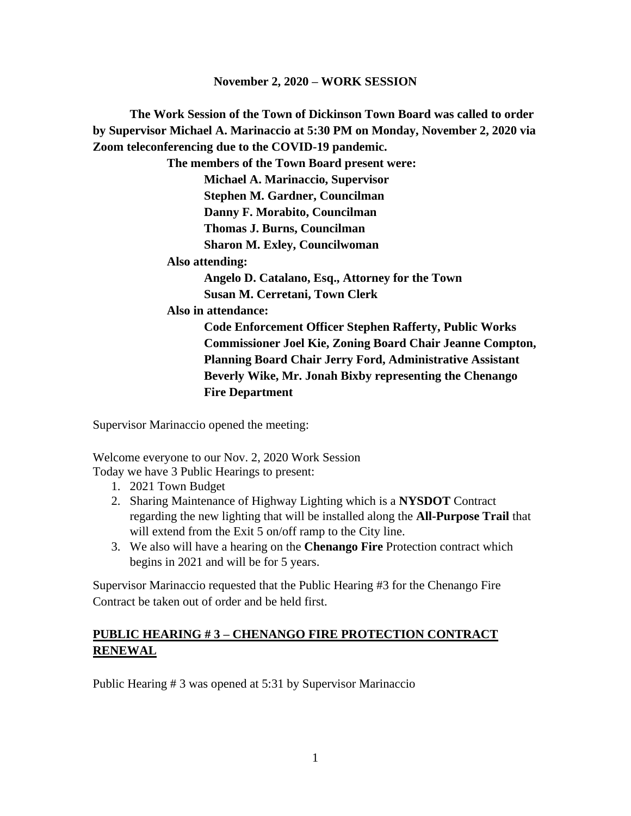**The Work Session of the Town of Dickinson Town Board was called to order by Supervisor Michael A. Marinaccio at 5:30 PM on Monday, November 2, 2020 via Zoom teleconferencing due to the COVID-19 pandemic.**

**The members of the Town Board present were:**

**Michael A. Marinaccio, Supervisor Stephen M. Gardner, Councilman Danny F. Morabito, Councilman Thomas J. Burns, Councilman Sharon M. Exley, Councilwoman**

**Also attending:**

**Angelo D. Catalano, Esq., Attorney for the Town Susan M. Cerretani, Town Clerk**

**Also in attendance:** 

**Code Enforcement Officer Stephen Rafferty, Public Works Commissioner Joel Kie, Zoning Board Chair Jeanne Compton, Planning Board Chair Jerry Ford, Administrative Assistant Beverly Wike, Mr. Jonah Bixby representing the Chenango Fire Department**

Supervisor Marinaccio opened the meeting:

Welcome everyone to our Nov. 2, 2020 Work Session Today we have 3 Public Hearings to present:

- 1. 2021 Town Budget
- 2. Sharing Maintenance of Highway Lighting which is a **NYSDOT** Contract regarding the new lighting that will be installed along the **All-Purpose Trail** that will extend from the Exit 5 on/off ramp to the City line.
- 3. We also will have a hearing on the **Chenango Fire** Protection contract which begins in 2021 and will be for 5 years.

Supervisor Marinaccio requested that the Public Hearing #3 for the Chenango Fire Contract be taken out of order and be held first.

# **PUBLIC HEARING # 3 – CHENANGO FIRE PROTECTION CONTRACT RENEWAL**

Public Hearing # 3 was opened at 5:31 by Supervisor Marinaccio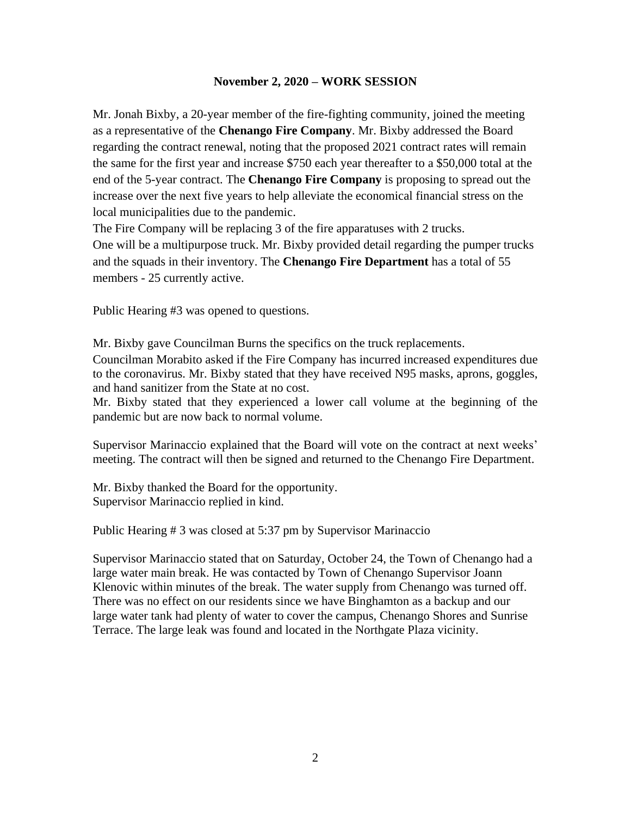Mr. Jonah Bixby, a 20-year member of the fire-fighting community, joined the meeting as a representative of the **Chenango Fire Company**. Mr. Bixby addressed the Board regarding the contract renewal, noting that the proposed 2021 contract rates will remain the same for the first year and increase \$750 each year thereafter to a \$50,000 total at the end of the 5-year contract. The **Chenango Fire Company** is proposing to spread out the increase over the next five years to help alleviate the economical financial stress on the local municipalities due to the pandemic.

The Fire Company will be replacing 3 of the fire apparatuses with 2 trucks.

One will be a multipurpose truck. Mr. Bixby provided detail regarding the pumper trucks and the squads in their inventory. The **Chenango Fire Department** has a total of 55 members - 25 currently active.

Public Hearing #3 was opened to questions.

Mr. Bixby gave Councilman Burns the specifics on the truck replacements. Councilman Morabito asked if the Fire Company has incurred increased expenditures due to the coronavirus. Mr. Bixby stated that they have received N95 masks, aprons, goggles, and hand sanitizer from the State at no cost.

Mr. Bixby stated that they experienced a lower call volume at the beginning of the pandemic but are now back to normal volume.

Supervisor Marinaccio explained that the Board will vote on the contract at next weeks' meeting. The contract will then be signed and returned to the Chenango Fire Department.

Mr. Bixby thanked the Board for the opportunity. Supervisor Marinaccio replied in kind.

Public Hearing # 3 was closed at 5:37 pm by Supervisor Marinaccio

Supervisor Marinaccio stated that on Saturday, October 24, the Town of Chenango had a large water main break. He was contacted by Town of Chenango Supervisor Joann Klenovic within minutes of the break. The water supply from Chenango was turned off. There was no effect on our residents since we have Binghamton as a backup and our large water tank had plenty of water to cover the campus, Chenango Shores and Sunrise Terrace. The large leak was found and located in the Northgate Plaza vicinity.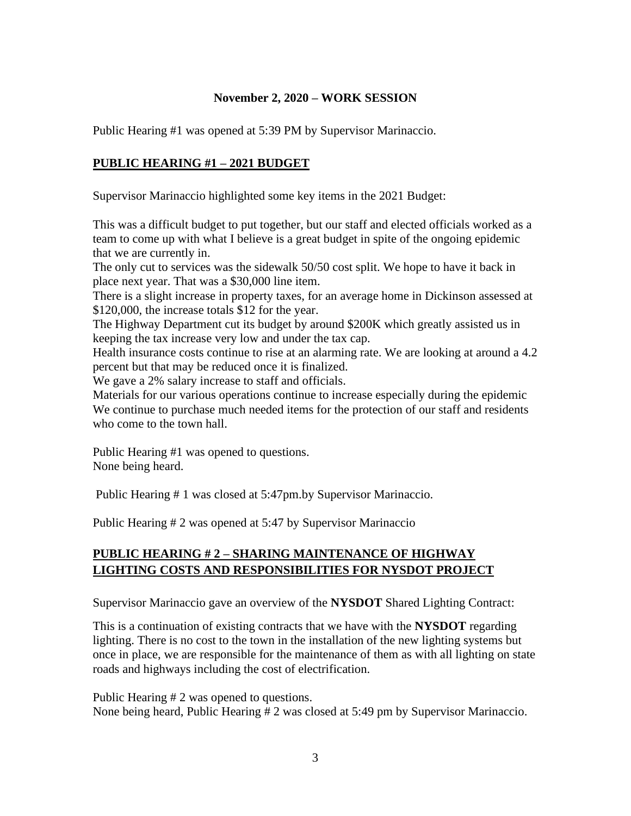Public Hearing #1 was opened at 5:39 PM by Supervisor Marinaccio.

## **PUBLIC HEARING #1 – 2021 BUDGET**

Supervisor Marinaccio highlighted some key items in the 2021 Budget:

This was a difficult budget to put together, but our staff and elected officials worked as a team to come up with what I believe is a great budget in spite of the ongoing epidemic that we are currently in.

The only cut to services was the sidewalk 50/50 cost split. We hope to have it back in place next year. That was a \$30,000 line item.

There is a slight increase in property taxes, for an average home in Dickinson assessed at \$120,000, the increase totals \$12 for the year.

The Highway Department cut its budget by around \$200K which greatly assisted us in keeping the tax increase very low and under the tax cap.

Health insurance costs continue to rise at an alarming rate. We are looking at around a 4.2 percent but that may be reduced once it is finalized.

We gave a 2% salary increase to staff and officials.

Materials for our various operations continue to increase especially during the epidemic We continue to purchase much needed items for the protection of our staff and residents who come to the town hall.

Public Hearing #1 was opened to questions. None being heard.

Public Hearing # 1 was closed at 5:47pm.by Supervisor Marinaccio.

Public Hearing # 2 was opened at 5:47 by Supervisor Marinaccio

# **PUBLIC HEARING # 2 – SHARING MAINTENANCE OF HIGHWAY LIGHTING COSTS AND RESPONSIBILITIES FOR NYSDOT PROJECT**

Supervisor Marinaccio gave an overview of the **NYSDOT** Shared Lighting Contract:

This is a continuation of existing contracts that we have with the **NYSDOT** regarding lighting. There is no cost to the town in the installation of the new lighting systems but once in place, we are responsible for the maintenance of them as with all lighting on state roads and highways including the cost of electrification.

Public Hearing # 2 was opened to questions. None being heard, Public Hearing # 2 was closed at 5:49 pm by Supervisor Marinaccio.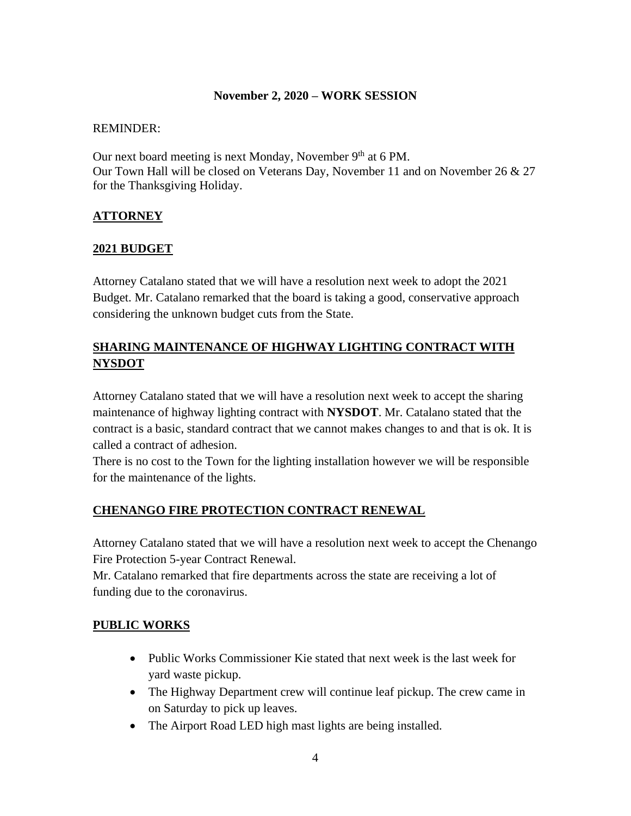#### REMINDER:

Our next board meeting is next Monday, November 9<sup>th</sup> at 6 PM. Our Town Hall will be closed on Veterans Day, November 11 and on November 26 & 27 for the Thanksgiving Holiday.

## **ATTORNEY**

## **2021 BUDGET**

Attorney Catalano stated that we will have a resolution next week to adopt the 2021 Budget. Mr. Catalano remarked that the board is taking a good, conservative approach considering the unknown budget cuts from the State.

# **SHARING MAINTENANCE OF HIGHWAY LIGHTING CONTRACT WITH NYSDOT**

Attorney Catalano stated that we will have a resolution next week to accept the sharing maintenance of highway lighting contract with **NYSDOT**. Mr. Catalano stated that the contract is a basic, standard contract that we cannot makes changes to and that is ok. It is called a contract of adhesion.

There is no cost to the Town for the lighting installation however we will be responsible for the maintenance of the lights.

## **CHENANGO FIRE PROTECTION CONTRACT RENEWAL**

Attorney Catalano stated that we will have a resolution next week to accept the Chenango Fire Protection 5-year Contract Renewal.

Mr. Catalano remarked that fire departments across the state are receiving a lot of funding due to the coronavirus.

## **PUBLIC WORKS**

- Public Works Commissioner Kie stated that next week is the last week for yard waste pickup.
- The Highway Department crew will continue leaf pickup. The crew came in on Saturday to pick up leaves.
- The Airport Road LED high mast lights are being installed.